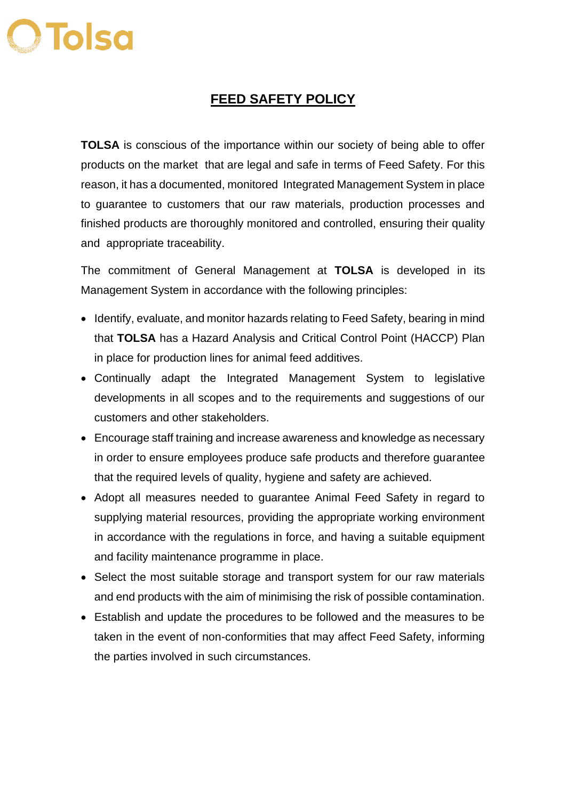## **OTolso**

## **FEED SAFETY POLICY**

**TOLSA** is conscious of the importance within our society of being able to offer products on the market that are legal and safe in terms of Feed Safety. For this reason, it has a documented, monitored Integrated Management System in place to guarantee to customers that our raw materials, production processes and finished products are thoroughly monitored and controlled, ensuring their quality and appropriate traceability.

The commitment of General Management at **TOLSA** is developed in its Management System in accordance with the following principles:

- Identify, evaluate, and monitor hazards relating to Feed Safety, bearing in mind that **TOLSA** has a Hazard Analysis and Critical Control Point (HACCP) Plan in place for production lines for animal feed additives.
- Continually adapt the Integrated Management System to legislative developments in all scopes and to the requirements and suggestions of our customers and other stakeholders.
- Encourage staff training and increase awareness and knowledge as necessary in order to ensure employees produce safe products and therefore guarantee that the required levels of quality, hygiene and safety are achieved.
- Adopt all measures needed to guarantee Animal Feed Safety in regard to supplying material resources, providing the appropriate working environment in accordance with the regulations in force, and having a suitable equipment and facility maintenance programme in place.
- Select the most suitable storage and transport system for our raw materials and end products with the aim of minimising the risk of possible contamination.
- Establish and update the procedures to be followed and the measures to be taken in the event of non-conformities that may affect Feed Safety, informing the parties involved in such circumstances.